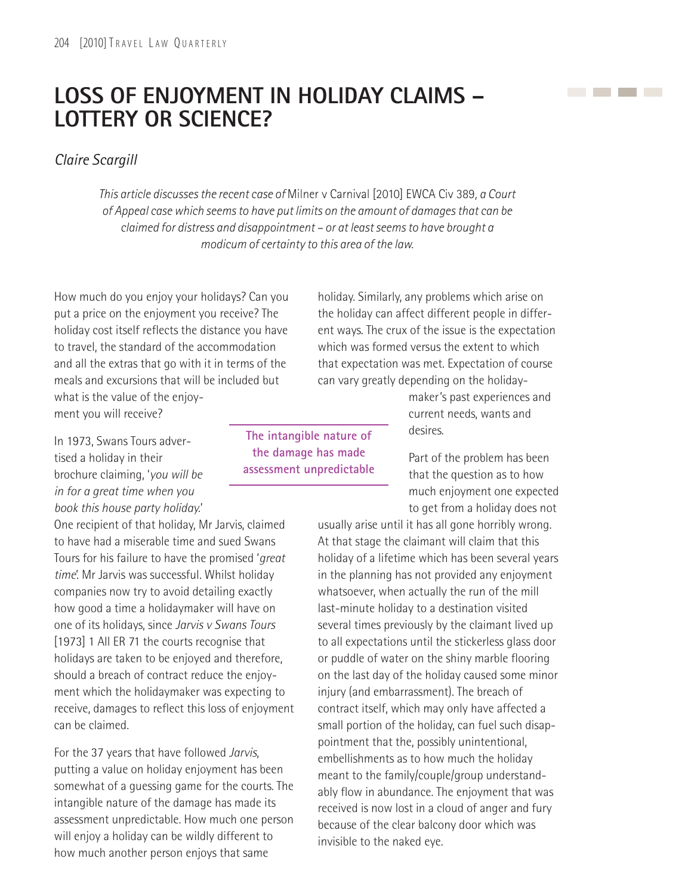## **LOSS OF ENJOYMENT IN HOLIDAY CLAIMS – LOTTERY OR SCIENCE?**

*Claire Scargill*

*This article discusses the recent case of* Milner v Carnival [2010] EWCA Civ 389*, a Court of Appeal case which seems to have put limits on the amount of damages that can be claimed for distress and disappointment – or at least seems to have brought a modicum of certainty to this area of the law.*

How much do you enjoy your holidays? Can you put a price on the enjoyment you receive? The holiday cost itself reflects the distance you have to travel, the standard of the accommodation and all the extras that go with it in terms of the meals and excursions that will be included but what is the value of the enjoyment you will receive?

In 1973, Swans Tours advertised a holiday in their brochure claiming, '*you will be in for a great time when you book this house party holiday.*'

One recipient of that holiday, Mr Jarvis, claimed to have had a miserable time and sued Swans Tours for his failure to have the promised '*great time*'. Mr Jarvis was successful. Whilst holiday companies now try to avoid detailing exactly how good a time a holidaymaker will have on one of its holidays, since *Jarvis v Swans Tours* [1973] 1 All ER 71 the courts recognise that holidays are taken to be enjoyed and therefore, should a breach of contract reduce the enjoyment which the holidaymaker was expecting to receive, damages to reflect this loss of enjoyment can be claimed.

For the 37 years that have followed *Jarvis*, putting a value on holiday enjoyment has been somewhat of a guessing game for the courts. The intangible nature of the damage has made its assessment unpredictable. How much one person will enjoy a holiday can be wildly different to how much another person enjoys that same

**The intangible nature of the damage has made assessment unpredictable**

holiday. Similarly, any problems which arise on the holiday can affect different people in different ways. The crux of the issue is the expectation which was formed versus the extent to which that expectation was met. Expectation of course can vary greatly depending on the holiday-

> maker's past experiences and current needs, wants and desires.

the company of the company of

Part of the problem has been that the question as to how much enjoyment one expected to get from a holiday does not

usually arise until it has all gone horribly wrong. At that stage the claimant will claim that this holiday of a lifetime which has been several years in the planning has not provided any enjoyment whatsoever, when actually the run of the mill last-minute holiday to a destination visited several times previously by the claimant lived up to all expectations until the stickerless glass door or puddle of water on the shiny marble flooring on the last day of the holiday caused some minor injury (and embarrassment). The breach of contract itself, which may only have affected a small portion of the holiday, can fuel such disappointment that the, possibly unintentional, embellishments as to how much the holiday meant to the family/couple/group understandably flow in abundance. The enjoyment that was received is now lost in a cloud of anger and fury because of the clear balcony door which was invisible to the naked eye.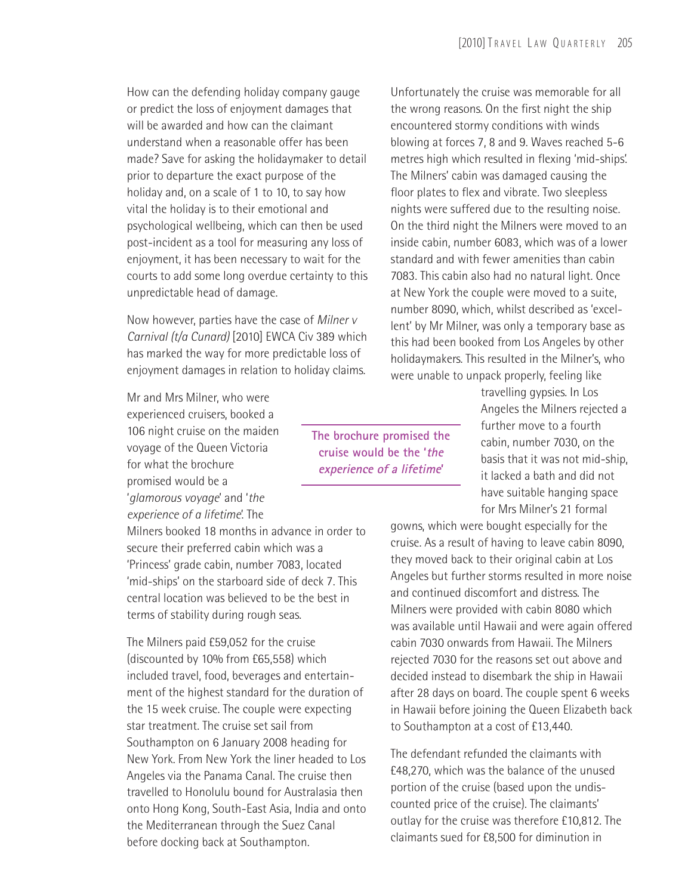How can the defending holiday company gauge or predict the loss of enjoyment damages that will be awarded and how can the claimant understand when a reasonable offer has been made? Save for asking the holidaymaker to detail prior to departure the exact purpose of the holiday and, on a scale of 1 to 10, to say how vital the holiday is to their emotional and psychological wellbeing, which can then be used post-incident as a tool for measuring any loss of enjoyment, it has been necessary to wait for the courts to add some long overdue certainty to this unpredictable head of damage.

Now however, parties have the case of *Milner v Carnival (t/a Cunard)* [2010] EWCA Civ 389 which has marked the way for more predictable loss of enjoyment damages in relation to holiday claims.

Mr and Mrs Milner, who were experienced cruisers, booked a 106 night cruise on the maiden voyage of the Queen Victoria for what the brochure promised would be a '*glamorous voyage*' and '*the experience of a lifetime*'. The

Milners booked 18 months in advance in order to secure their preferred cabin which was a 'Princess' grade cabin, number 7083, located 'mid-ships' on the starboard side of deck 7. This central location was believed to be the best in terms of stability during rough seas.

The Milners paid £59,052 for the cruise (discounted by 10% from £65,558) which included travel, food, beverages and entertainment of the highest standard for the duration of the 15 week cruise. The couple were expecting star treatment. The cruise set sail from Southampton on 6 January 2008 heading for New York. From New York the liner headed to Los Angeles via the Panama Canal. The cruise then travelled to Honolulu bound for Australasia then onto Hong Kong, South-East Asia, India and onto the Mediterranean through the Suez Canal before docking back at Southampton.

Unfortunately the cruise was memorable for all the wrong reasons. On the first night the ship encountered stormy conditions with winds blowing at forces 7, 8 and 9. Waves reached 5-6 metres high which resulted in flexing 'mid-ships'. The Milners' cabin was damaged causing the floor plates to flex and vibrate. Two sleepless nights were suffered due to the resulting noise. On the third night the Milners were moved to an inside cabin, number 6083, which was of a lower standard and with fewer amenities than cabin 7083. This cabin also had no natural light. Once at New York the couple were moved to a suite, number 8090, which, whilst described as 'excellent' by Mr Milner, was only a temporary base as this had been booked from Los Angeles by other holidaymakers. This resulted in the Milner's, who were unable to unpack properly, feeling like

**The brochure promised the cruise would be the 'the experience of a lifetime'**

travelling gypsies. In Los Angeles the Milners rejected a further move to a fourth cabin, number 7030, on the basis that it was not mid-ship, it lacked a bath and did not have suitable hanging space for Mrs Milner's 21 formal

gowns, which were bought especially for the cruise. As a result of having to leave cabin 8090, they moved back to their original cabin at Los Angeles but further storms resulted in more noise and continued discomfort and distress. The Milners were provided with cabin 8080 which was available until Hawaii and were again offered cabin 7030 onwards from Hawaii. The Milners rejected 7030 for the reasons set out above and decided instead to disembark the ship in Hawaii after 28 days on board. The couple spent 6 weeks in Hawaii before joining the Queen Elizabeth back to Southampton at a cost of £13,440.

The defendant refunded the claimants with £48,270, which was the balance of the unused portion of the cruise (based upon the undiscounted price of the cruise). The claimants' outlay for the cruise was therefore £10,812. The claimants sued for £8,500 for diminution in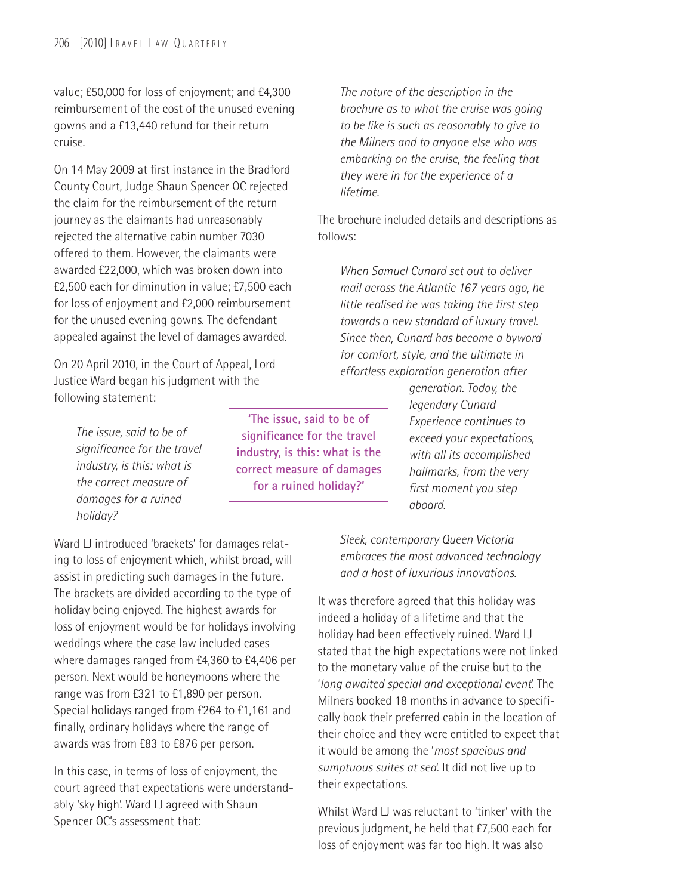value; £50,000 for loss of enjoyment; and £4,300 reimbursement of the cost of the unused evening gowns and a £13,440 refund for their return cruise.

On 14 May 2009 at first instance in the Bradford County Court, Judge Shaun Spencer QC rejected the claim for the reimbursement of the return journey as the claimants had unreasonably rejected the alternative cabin number 7030 offered to them. However, the claimants were awarded £22,000, which was broken down into £2,500 each for diminution in value; £7,500 each for loss of enjoyment and £2,000 reimbursement for the unused evening gowns. The defendant appealed against the level of damages awarded.

On 20 April 2010, in the Court of Appeal, Lord Justice Ward began his judgment with the following statement:

> *The issue, said to be of significance for the travel industry, is this: what is the correct measure of damages for a ruined holiday?*

Ward LJ introduced 'brackets' for damages relating to loss of enjoyment which, whilst broad, will assist in predicting such damages in the future. The brackets are divided according to the type of holiday being enjoyed. The highest awards for loss of enjoyment would be for holidays involving weddings where the case law included cases where damages ranged from £4,360 to £4,406 per person. Next would be honeymoons where the range was from £321 to £1,890 per person. Special holidays ranged from £264 to £1,161 and finally, ordinary holidays where the range of awards was from £83 to £876 per person.

In this case, in terms of loss of enjoyment, the court agreed that expectations were understandably 'sky high'. Ward LJ agreed with Shaun Spencer QC's assessment that:

**'The issue, said to be of significance for the travel industry, is this: what is the correct measure of damages for a ruined holiday?'**

*The nature of the description in the brochure as to what the cruise was going to be like is such as reasonably to give to the Milners and to anyone else who was embarking on the cruise, the feeling that they were in for the experience of a lifetime.*

The brochure included details and descriptions as follows:

*When Samuel Cunard set out to deliver mail across the Atlantic 167 years ago, he little realised he was taking the first step towards a new standard of luxury travel. Since then, Cunard has become a byword for comfort, style, and the ultimate in effortless exploration generation after*

> *generation. Today, the legendary Cunard Experience continues to exceed your expectations, with all its accomplished hallmarks, from the very first moment you step aboard.*

*Sleek, contemporary Queen Victoria embraces the most advanced technology and a host of luxurious innovations.*

It was therefore agreed that this holiday was indeed a holiday of a lifetime and that the holiday had been effectively ruined. Ward LJ stated that the high expectations were not linked to the monetary value of the cruise but to the '*long awaited special and exceptional event*'. The Milners booked 18 months in advance to specifically book their preferred cabin in the location of their choice and they were entitled to expect that it would be among the '*most spacious and sumptuous suites at sea*'. It did not live up to their expectations.

Whilst Ward LJ was reluctant to 'tinker' with the previous judgment, he held that £7,500 each for loss of enjoyment was far too high. It was also